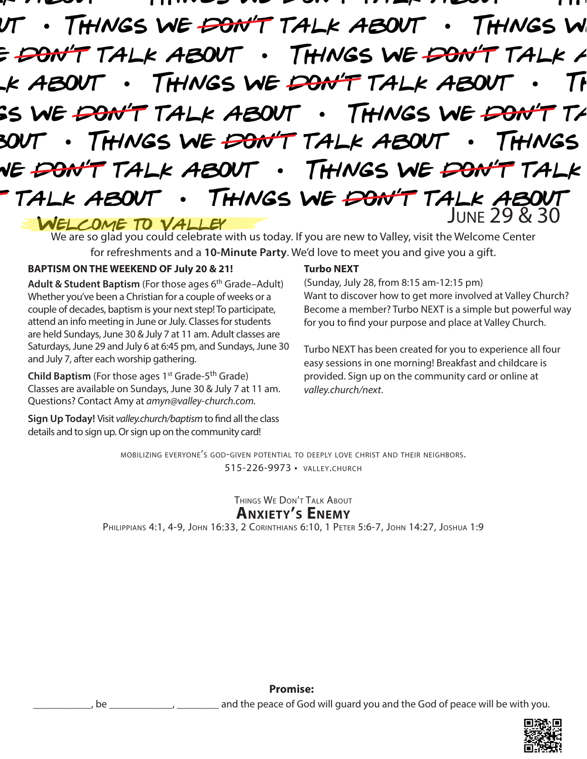· THINGS WE <del>DON'T</del> TALK ABOUT . THINGS W E DON'T TALK ABOUT . THINGS WE DON'T TALK A THINGS WE DON'T TALK ABOUT .K ABOUT SS WE <del>DON'T</del> TALK ABOUT . THINGS WE <del>DON'T</del>  $T\angle$ THINGS WE <del>DON'T</del> TALK ABOUT THINGS T TALK ABOUT . THINGS WE DON'T TALK NE <del>DON</del> THINGS WE  $\overline{PO}$ N'T TALK ABOUT TALK ABOUT  $\bullet$ WELCOME TO VALLEY

We are so glad you could celebrate with us today. If you are new to Valley, visit the Welcome Center for refreshments and a **10-Minute Party**. We'd love to meet you and give you a gift.

## **BAPTISM ON THE WEEKEND OF July 20 & 21!**

Adult & Student Baptism (For those ages 6<sup>th</sup> Grade–Adult) Whether you've been a Christian for a couple of weeks or a couple of decades, baptism is your next step! To participate, attend an info meeting in June or July. Classes for students are held Sundays, June 30 & July 7 at 11 am. Adult classes are Saturdays, June 29 and July 6 at 6:45 pm, and Sundays, June 30 and July 7, after each worship gathering.

**Child Baptism** (For those ages  $1^{st}$  Grade- $5^{th}$  Grade) Classes are available on Sundays, June 30 & July 7 at 11 am. Questions? Contact Amy at *amyn@valley-church.com.*

**Sign Up Today!** Visit *valley.church/baptism* to find all the class details and to sign up. Or sign up on the community card!

### **Turbo NEXT**

(Sunday, July 28, from 8:15 am-12:15 pm) Want to discover how to get more involved at Valley Church? Become a member? Turbo NEXT is a simple but powerful way for you to find your purpose and place at Valley Church.

Turbo NEXT has been created for you to experience all four easy sessions in one morning! Breakfast and childcare is provided. Sign up on the community card or online at *valley.church/next*.

mobilizing everyone's god-given potential to deeply love christ and their neighbors. 515-226-9973 • valley.church

> Things We Don't Talk About **Anxiety's Enemy**

Philippians 4:1, 4-9, John 16:33, 2 Corinthians 6:10, 1 Peter 5:6-7, John 14:27, Joshua 1:9

**Promise:**

be \_\_\_\_\_\_\_\_\_\_\_\_, \_\_\_\_\_\_\_\_\_\_ and the peace of God will guard you and the God of peace will be with you.